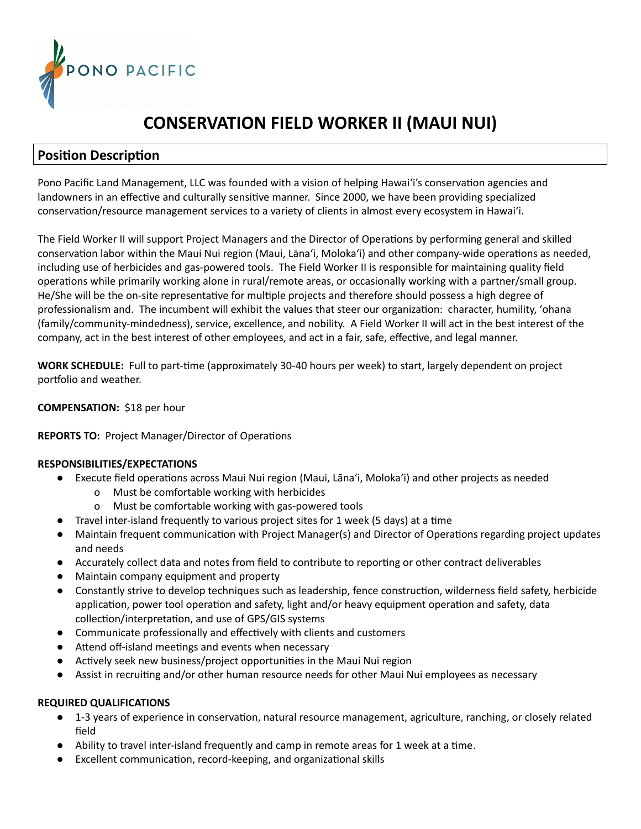

# **CONSERVATION FIELD WORKER II (MAUI NUI)**

## **Position Description**

Pono Pacific Land Management, LLC was founded with a vision of helping Hawai'i's conservation agencies and landowners in an effective and culturally sensitive manner. Since 2000, we have been providing specialized conservation/resource management services to a variety of clients in almost every ecosystem in Hawai'i.

The Field Worker II will support Project Managers and the Director of Operations by performing general and skilled conservation labor within the Maui Nui region (Maui, Lāna'i, Moloka'i) and other company-wide operations as needed, including use of herbicides and gas-powered tools. The Field Worker II is responsible for maintaining quality field operations while primarily working alone in rural/remote areas, or occasionally working with a partner/small group. He/She will be the on-site representative for multiple projects and therefore should possess a high degree of professionalism and. The incumbent will exhibit the values that steer our organization: character, humility, 'ohana (family/community-mindedness), service, excellence, and nobility. A Field Worker II will act in the best interest of the company, act in the best interest of other employees, and act in a fair, safe, effective, and legal manner.

**WORK SCHEDULE:** Full to part-time (approximately 30-40 hours per week) to start, largely dependent on project portfolio and weather.

### **COMPENSATION:** \$18 per hour

#### **REPORTS TO:** Project Manager/Director of Operations

#### **RESPONSIBILITIES/EXPECTATIONS**

- Execute field operations across Maui Nui region (Maui, Lāna'i, Moloka'i) and other projects as needed
	- o Must be comfortable working with herbicides
	- o Must be comfortable working with gas-powered tools
- Travel inter-island frequently to various project sites for 1 week (5 days) at a time
- Maintain frequent communication with Project Manager(s) and Director of Operations regarding project updates and needs
- Accurately collect data and notes from field to contribute to reporting or other contract deliverables
- Maintain company equipment and property
- Constantly strive to develop techniques such as leadership, fence construction, wilderness field safety, herbicide application, power tool operation and safety, light and/or heavy equipment operation and safety, data collection/interpretation, and use of GPS/GIS systems
- Communicate professionally and effectively with clients and customers
- Attend off-island meetings and events when necessary
- Actively seek new business/project opportunities in the Maui Nui region
- Assist in recruiting and/or other human resource needs for other Maui Nui employees as necessary

#### **REQUIRED QUALIFICATIONS**

- 1-3 years of experience in conservation, natural resource management, agriculture, ranching, or closely related field
- Ability to travel inter-island frequently and camp in remote areas for 1 week at a time.
- Excellent communication, record-keeping, and organizational skills